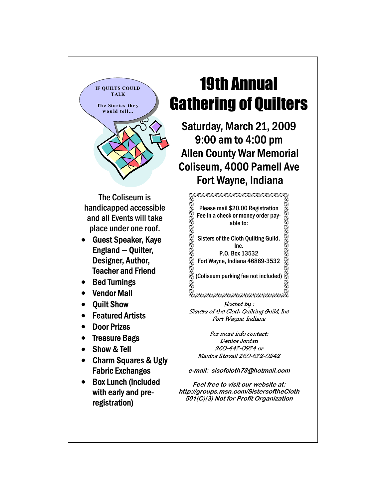

The Coliseum is handicapped accessible and all Events will take place under one roof.

- Guest Speaker, Kaye England — Quilter, Designer, Author, Teacher and Friend
- Bed Turnings
- Vendor Mall
- Quilt Show
- **Featured Artists**
- Door Prizes
- **Treasure Bags**
- Show & Tell
- Charm Squares & Ugly Fabric Exchanges
- Box Lunch (included with early and preregistration)

## 19th Annual Gathering of Quilters

Saturday, March 21, 2009 9:00 am to 4:00 pm Allen County War Memorial Coliseum, 4000 Parnell Ave Fort Wayne, Indiana

> Please mail \$20.00 Registration Fee in a check or money order payable to:

Sisters of the Cloth Quilting Guild, Inc.

P.O. Box 13532 Fort Wayne, Indiana 46869-3532

(Coliseum parking fee not included)

## 

Hosted by : Sisters of the Cloth Quilting Guild, Inc Fort Wayne, Indiana

For more info contact: Denise Jordan 260-447-0974 or Maxine Stovall 260-672-0242

**e-mail: sisofcloth73@hotmail.com** 

**Feel free to visit our website at: http://groups.msn.com/SistersoftheCloth 501(C)(3) Not for Profit Organization**